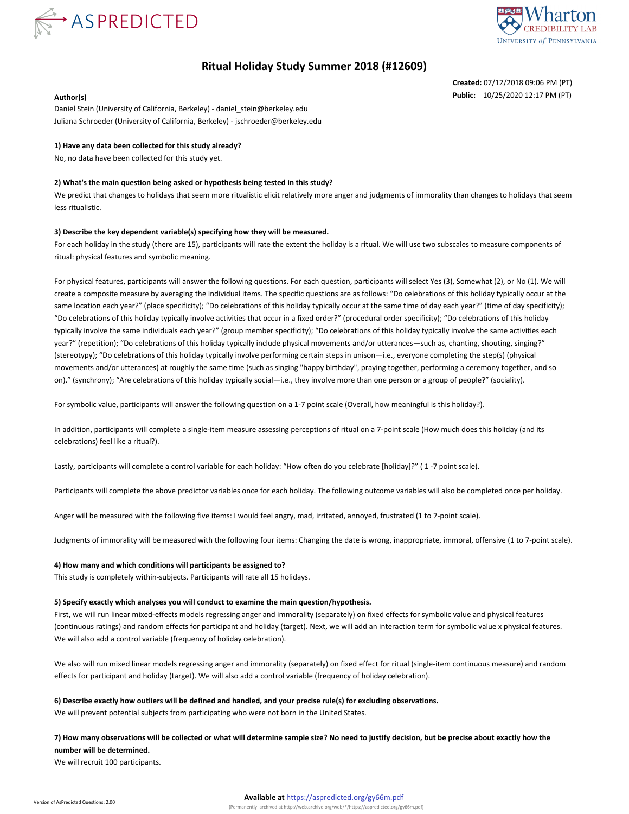



# **Ritual Holiday Study Summer 2018 (#12609)**

**Created:** 07/12/2018 09:06 PM (PT) **Author(s) Public:** 10/25/2020 12:17 PM (PT)

Daniel Stein (University of California, Berkeley) - daniel\_stein@berkeley.edu Juliana Schroeder (University of California, Berkeley) - jschroeder@berkeley.edu

### **1) Have any data been collected for this study already?**

No, no data have been collected for this study yet.

### **2) What's the main question being asked or hypothesis being tested in this study?**

We predict that changes to holidays that seem more ritualistic elicit relatively more anger and judgments of immorality than changes to holidays that seem less ritualistic.

#### **3) Describe the key dependent variable(s) specifying how they will be measured.**

For each holiday in the study (there are 15), participants will rate the extent the holiday is a ritual. We will use two subscales to measure components of ritual: physical features and symbolic meaning.

For physical features, participants will answer the following questions. For each question, participants will select Yes (3), Somewhat (2), or No (1). We will create a composite measure by averaging the individual items. The specific questions are as follows: "Do celebrations of this holiday typically occur at the same location each year?" (place specificity); "Do celebrations of this holiday typically occur at the same time of day each year?" (time of day specificity); "Do celebrations of this holiday typically involve activities that occur in a fixed order?" (procedural order specificity); "Do celebrations of this holiday typically involve the same individuals each year?" (group member specificity); "Do celebrations of this holiday typically involve the same activities each year?" (repetition); "Do celebrations of this holiday typically include physical movements and/or utterances—such as, chanting, shouting, singing?" (stereotypy); "Do celebrations of this holiday typically involve performing certain steps in unison—i.e., everyone completing the step(s) (physical movements and/or utterances) at roughly the same time (such as singing "happy birthday", praying together, performing a ceremony together, and so on)." (synchrony); "Are celebrations of this holiday typically social—i.e., they involve more than one person or a group of people?" (sociality).

For symbolic value, participants will answer the following question on a 1-7 point scale (Overall, how meaningful is this holiday?).

In addition, participants will complete a single-item measure assessing perceptions of ritual on a 7-point scale (How much does this holiday (and its celebrations) feel like a ritual?).

Lastly, participants will complete a control variable for each holiday: "How often do you celebrate [holiday]?" ( 1 -7 point scale).

Participants will complete the above predictor variables once for each holiday. The following outcome variables will also be completed once per holiday.

Anger will be measured with the following five items: I would feel angry, mad, irritated, annoyed, frustrated (1 to 7-point scale).

Judgments of immorality will be measured with the following four items: Changing the date is wrong, inappropriate, immoral, offensive (1 to 7-point scale).

## **4) How many and which conditions will participants be assigned to?**

This study is completely within-subjects. Participants will rate all 15 holidays.

#### **5) Specify exactly which analyses you will conduct to examine the main question/hypothesis.**

First, we will run linear mixed-effects models regressing anger and immorality (separately) on fixed effects for symbolic value and physical features (continuous ratings) and random effects for participant and holiday (target). Next, we will add an interaction term for symbolic value x physical features. We will also add a control variable (frequency of holiday celebration).

We also will run mixed linear models regressing anger and immorality (separately) on fixed effect for ritual (single-item continuous measure) and random effects for participant and holiday (target). We will also add a control variable (frequency of holiday celebration).

#### **6) Describe exactly how outliers will be defined and handled, and your precise rule(s) for excluding observations.**

We will prevent potential subjects from participating who were not born in the United States.

**7) How many observations will be collected or what will determine sample size? No need to justify decision, but be precise about exactly how the number will be determined.**

We will recruit 100 participants.